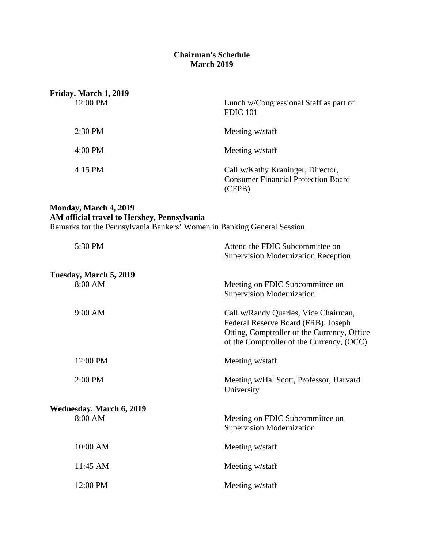## **Chairman's Schedule March 2019**

| Friday, March 1, 2019 |                                                                                           |
|-----------------------|-------------------------------------------------------------------------------------------|
| 12:00 PM              | Lunch w/Congressional Staff as part of<br><b>FDIC 101</b>                                 |
| $2:30$ PM             | Meeting w/staff                                                                           |
| $4:00 \text{ PM}$     | Meeting w/staff                                                                           |
| $4:15$ PM             | Call w/Kathy Kraninger, Director,<br><b>Consumer Financial Protection Board</b><br>(CFPB) |

## **Monday, March 4, 2019 AM official travel to Hershey, Pennsylvania**

Remarks for the Pennsylvania Bankers' Women in Banking General Session

| 5:30 PM                         | Attend the FDIC Subcommittee on<br><b>Supervision Modernization Reception</b>                                                                                           |
|---------------------------------|-------------------------------------------------------------------------------------------------------------------------------------------------------------------------|
| Tuesday, March 5, 2019          |                                                                                                                                                                         |
| 8:00 AM                         | Meeting on FDIC Subcommittee on<br><b>Supervision Modernization</b>                                                                                                     |
| 9:00 AM                         | Call w/Randy Quarles, Vice Chairman,<br>Federal Reserve Board (FRB), Joseph<br>Otting, Comptroller of the Currency, Office<br>of the Comptroller of the Currency, (OCC) |
| 12:00 PM                        | Meeting w/staff                                                                                                                                                         |
| 2:00 PM                         | Meeting w/Hal Scott, Professor, Harvard<br>University                                                                                                                   |
| <b>Wednesday, March 6, 2019</b> |                                                                                                                                                                         |
| 8:00 AM                         | Meeting on FDIC Subcommittee on<br><b>Supervision Modernization</b>                                                                                                     |
| 10:00 AM                        | Meeting w/staff                                                                                                                                                         |
| 11:45 AM                        | Meeting w/staff                                                                                                                                                         |
| 12:00 PM                        | Meeting w/staff                                                                                                                                                         |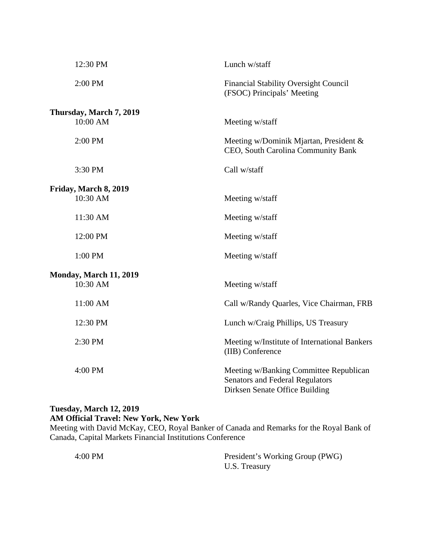| 12:30 PM                      | Lunch w/staff                                                                                                      |
|-------------------------------|--------------------------------------------------------------------------------------------------------------------|
| 2:00 PM                       | <b>Financial Stability Oversight Council</b><br>(FSOC) Principals' Meeting                                         |
| Thursday, March 7, 2019       |                                                                                                                    |
| 10:00 AM                      | Meeting w/staff                                                                                                    |
| 2:00 PM                       | Meeting w/Dominik Mjartan, President &<br>CEO, South Carolina Community Bank                                       |
| 3:30 PM                       | Call w/staff                                                                                                       |
| Friday, March 8, 2019         |                                                                                                                    |
| 10:30 AM                      | Meeting w/staff                                                                                                    |
| 11:30 AM                      | Meeting w/staff                                                                                                    |
| 12:00 PM                      | Meeting w/staff                                                                                                    |
| 1:00 PM                       | Meeting w/staff                                                                                                    |
| <b>Monday, March 11, 2019</b> |                                                                                                                    |
| 10:30 AM                      | Meeting w/staff                                                                                                    |
| 11:00 AM                      | Call w/Randy Quarles, Vice Chairman, FRB                                                                           |
| 12:30 PM                      | Lunch w/Craig Phillips, US Treasury                                                                                |
| 2:30 PM                       | Meeting w/Institute of International Bankers<br>(IIB) Conference                                                   |
| 4:00 PM                       | Meeting w/Banking Committee Republican<br><b>Senators and Federal Regulators</b><br>Dirksen Senate Office Building |

## **Tuesday, March 12, 2019 AM Official Travel: New York, New York**

Meeting with David McKay, CEO, Royal Banker of Canada and Remarks for the Royal Bank of Canada, Capital Markets Financial Institutions Conference

| $4:00$ PM | President's Working Group (PWG) |
|-----------|---------------------------------|
|           | U.S. Treasury                   |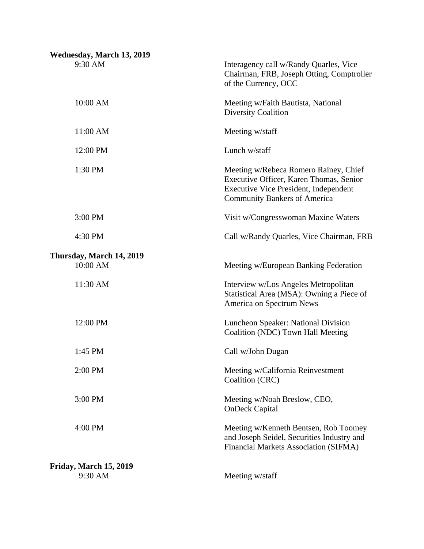| Wednesday, March 13, 2019            |                                                                                                                                                                         |
|--------------------------------------|-------------------------------------------------------------------------------------------------------------------------------------------------------------------------|
| 9:30 AM                              | Interagency call w/Randy Quarles, Vice<br>Chairman, FRB, Joseph Otting, Comptroller<br>of the Currency, OCC                                                             |
| 10:00 AM                             | Meeting w/Faith Bautista, National<br><b>Diversity Coalition</b>                                                                                                        |
| 11:00 AM                             | Meeting w/staff                                                                                                                                                         |
| 12:00 PM                             | Lunch w/staff                                                                                                                                                           |
| 1:30 PM                              | Meeting w/Rebeca Romero Rainey, Chief<br>Executive Officer, Karen Thomas, Senior<br><b>Executive Vice President, Independent</b><br><b>Community Bankers of America</b> |
| 3:00 PM                              | Visit w/Congresswoman Maxine Waters                                                                                                                                     |
| 4:30 PM                              | Call w/Randy Quarles, Vice Chairman, FRB                                                                                                                                |
| Thursday, March 14, 2019<br>10:00 AM | Meeting w/European Banking Federation                                                                                                                                   |
| 11:30 AM                             | Interview w/Los Angeles Metropolitan<br>Statistical Area (MSA): Owning a Piece of<br>America on Spectrum News                                                           |
| 12:00 PM                             | Luncheon Speaker: National Division<br>Coalition (NDC) Town Hall Meeting                                                                                                |
| 1:45 PM                              | Call w/John Dugan                                                                                                                                                       |
| 2:00 PM                              | Meeting w/California Reinvestment<br>Coalition (CRC)                                                                                                                    |
| 3:00 PM                              | Meeting w/Noah Breslow, CEO,<br><b>OnDeck Capital</b>                                                                                                                   |
| 4:00 PM                              | Meeting w/Kenneth Bentsen, Rob Toomey<br>and Joseph Seidel, Securities Industry and<br>Financial Markets Association (SIFMA)                                            |
| Friday, March 15, 2019<br>9:30 AM    | Meeting w/staff                                                                                                                                                         |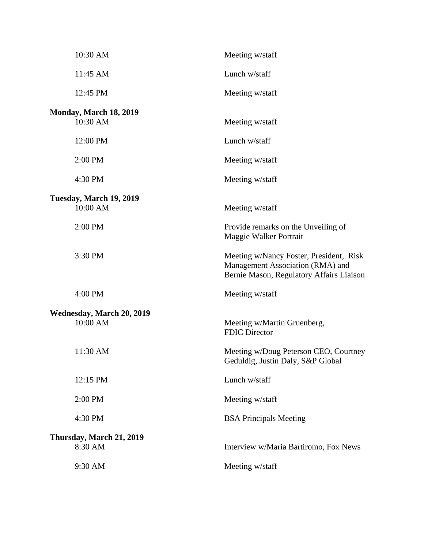| 10:30 AM                              | Meeting w/staff                                                                                                         |
|---------------------------------------|-------------------------------------------------------------------------------------------------------------------------|
| 11:45 AM                              | Lunch w/staff                                                                                                           |
| 12:45 PM                              | Meeting w/staff                                                                                                         |
| Monday, March 18, 2019<br>10:30 AM    | Meeting w/staff                                                                                                         |
| 12:00 PM                              | Lunch w/staff                                                                                                           |
| 2:00 PM                               | Meeting w/staff                                                                                                         |
| 4:30 PM                               | Meeting w/staff                                                                                                         |
| Tuesday, March 19, 2019<br>10:00 AM   | Meeting w/staff                                                                                                         |
| 2:00 PM                               | Provide remarks on the Unveiling of<br>Maggie Walker Portrait                                                           |
| 3:30 PM                               | Meeting w/Nancy Foster, President, Risk<br>Management Association (RMA) and<br>Bernie Mason, Regulatory Affairs Liaison |
| 4:00 PM                               | Meeting w/staff                                                                                                         |
| Wednesday, March 20, 2019<br>10:00 AM | Meeting w/Martin Gruenberg,<br><b>FDIC Director</b>                                                                     |
| 11:30 AM                              | Meeting w/Doug Peterson CEO, Courtney<br>Geduldig, Justin Daly, S&P Global                                              |
| 12:15 PM                              | Lunch w/staff                                                                                                           |
| 2:00 PM                               | Meeting w/staff                                                                                                         |
| 4:30 PM                               | <b>BSA Principals Meeting</b>                                                                                           |
| Thursday, March 21, 2019<br>8:30 AM   | Interview w/Maria Bartiromo, Fox News                                                                                   |
| 9:30 AM                               | Meeting w/staff                                                                                                         |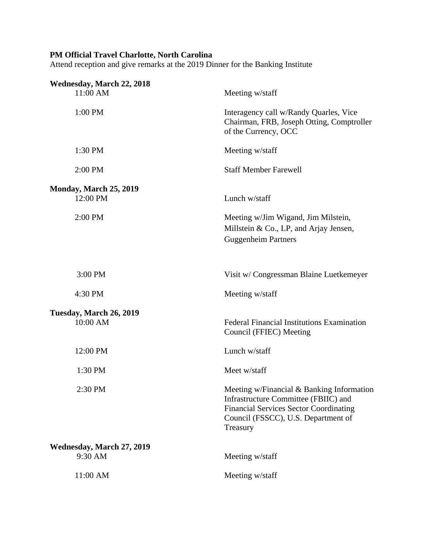## **PM Official Travel Charlotte, North Carolina**

Attend reception and give remarks at the 2019 Dinner for the Banking Institute

| Wednesday, March 22, 2018            |                                                                                                                                                                                       |
|--------------------------------------|---------------------------------------------------------------------------------------------------------------------------------------------------------------------------------------|
| 11:00 AM                             | Meeting w/staff                                                                                                                                                                       |
| 1:00 PM                              | Interagency call w/Randy Quarles, Vice<br>Chairman, FRB, Joseph Otting, Comptroller<br>of the Currency, OCC                                                                           |
| 1:30 PM                              | Meeting w/staff                                                                                                                                                                       |
| 2:00 PM                              | <b>Staff Member Farewell</b>                                                                                                                                                          |
| Monday, March 25, 2019<br>12:00 PM   | Lunch w/staff                                                                                                                                                                         |
| 2:00 PM                              | Meeting w/Jim Wigand, Jim Milstein,<br>Millstein & Co., LP, and Arjay Jensen,<br><b>Guggenheim Partners</b>                                                                           |
| 3:00 PM                              | Visit w/ Congressman Blaine Luetkemeyer                                                                                                                                               |
| 4:30 PM                              | Meeting w/staff                                                                                                                                                                       |
| Tuesday, March 26, 2019              |                                                                                                                                                                                       |
| 10:00 AM                             | Federal Financial Institutions Examination<br>Council (FFIEC) Meeting                                                                                                                 |
| 12:00 PM                             | Lunch w/staff                                                                                                                                                                         |
| 1:30 PM                              | Meet w/staff                                                                                                                                                                          |
| 2:30 PM                              | Meeting w/Financial & Banking Information<br>Infrastructure Committee (FBIIC) and<br><b>Financial Services Sector Coordinating</b><br>Council (FSSCC), U.S. Department of<br>Treasury |
| Wednesday, March 27, 2019<br>9:30 AM | Meeting w/staff                                                                                                                                                                       |
| 11:00 AM                             | Meeting w/staff                                                                                                                                                                       |
|                                      |                                                                                                                                                                                       |